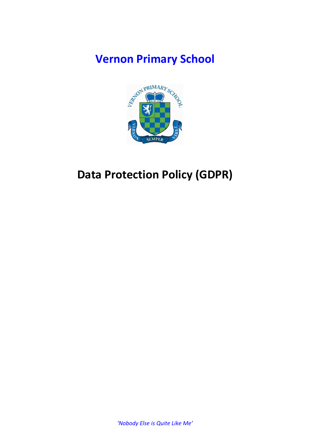## **Vernon Primary School**



# **Data Protection Policy (GDPR)**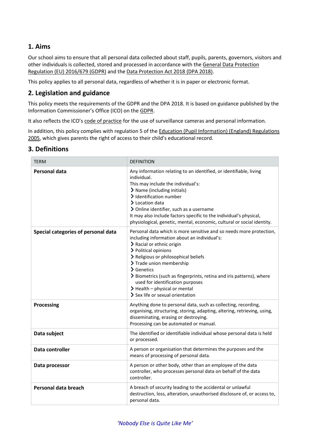## **1. Aims**

Our school aims to ensure that all personal data collected about staff, pupils, parents, governors, visitors and other individuals is collected, stored and processed in accordance with the [General Data Protection](https://eur-lex.europa.eu/legal-content/EN/TXT/?qid=1528874672298&uri=CELEX:02016R0679-20160504)  Regulation [\(EU\) 2016/679](https://eur-lex.europa.eu/legal-content/EN/TXT/?qid=1528874672298&uri=CELEX:02016R0679-20160504) (GDPR) and the [Data Protection Act 2018 \(DPA 2018\).](http://www.legislation.gov.uk/ukpga/2018/12/contents/enacted)

This policy applies to all personal data, regardless of whether it is in paper or electronic format.

### **2. Legislation and guidance**

This policy meets the requirements of the GDPR and the DPA 2018. It is based on guidance published by the Information Commissioner's Office (ICO) on the [GDPR.](https://ico.org.uk/for-organisations/guide-to-the-general-data-protection-regulation-gdpr/)

It also reflects the ICO's [code of practice](https://ico.org.uk/media/for-organisations/documents/1542/cctv-code-of-practice.pdf) for the use of surveillance cameras and personal information.

In addition, this policy complies with regulation 5 of the [Education \(Pupil Information\) \(England\) Regulations](http://www.legislation.gov.uk/uksi/2005/1437/regulation/5/made)  [2005,](http://www.legislation.gov.uk/uksi/2005/1437/regulation/5/made) which gives parents the right of access to their child's educational record.

## **3. Definitions**

| <b>TERM</b>                         | <b>DEFINITION</b>                                                                                                                                                                                                                                                                                                                                                                                                                                                    |
|-------------------------------------|----------------------------------------------------------------------------------------------------------------------------------------------------------------------------------------------------------------------------------------------------------------------------------------------------------------------------------------------------------------------------------------------------------------------------------------------------------------------|
| <b>Personal data</b>                | Any information relating to an identified, or identifiable, living<br>individual.<br>This may include the individual's:<br>> Name (including initials)<br>> Identification number<br>> Location data<br>> Online identifier, such as a username<br>It may also include factors specific to the individual's physical,<br>physiological, genetic, mental, economic, cultural or social identity.                                                                      |
| Special categories of personal data | Personal data which is more sensitive and so needs more protection,<br>including information about an individual's:<br>> Racial or ethnic origin<br>> Political opinions<br>> Religious or philosophical beliefs<br>> Trade union membership<br>$\sum$ Genetics<br>> Biometrics (such as fingerprints, retina and iris patterns), where<br>used for identification purposes<br>$\blacktriangleright$ Health – physical or mental<br>> Sex life or sexual orientation |
| <b>Processing</b>                   | Anything done to personal data, such as collecting, recording,<br>organising, structuring, storing, adapting, altering, retrieving, using,<br>disseminating, erasing or destroying.<br>Processing can be automated or manual.                                                                                                                                                                                                                                        |
| Data subject                        | The identified or identifiable individual whose personal data is held<br>or processed.                                                                                                                                                                                                                                                                                                                                                                               |
| Data controller                     | A person or organisation that determines the purposes and the<br>means of processing of personal data.                                                                                                                                                                                                                                                                                                                                                               |
| Data processor                      | A person or other body, other than an employee of the data<br>controller, who processes personal data on behalf of the data<br>controller.                                                                                                                                                                                                                                                                                                                           |
| Personal data breach                | A breach of security leading to the accidental or unlawful<br>destruction, loss, alteration, unauthorised disclosure of, or access to,<br>personal data.                                                                                                                                                                                                                                                                                                             |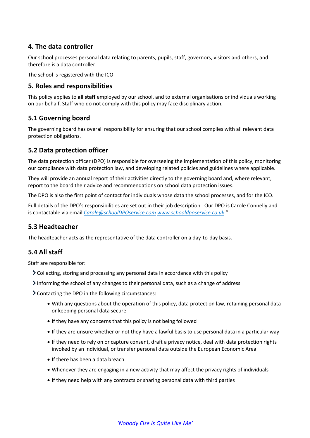## **4. The data controller**

Our school processes personal data relating to parents, pupils, staff, governors, visitors and others, and therefore is a data controller.

The school is registered with the ICO.

## **5. Roles and responsibilities**

This policy applies to **all staff** employed by our school, and to external organisations or individuals working on our behalf. Staff who do not comply with this policy may face disciplinary action.

## **5.1 Governing board**

The governing board has overall responsibility for ensuring that our school complies with all relevant data protection obligations.

#### **5.2 Data protection officer**

The data protection officer (DPO) is responsible for overseeing the implementation of this policy, monitoring our compliance with data protection law, and developing related policies and guidelines where applicable.

They will provide an annual report of their activities directly to the governing board and, where relevant, report to the board their advice and recommendations on school data protection issues.

The DPO is also the first point of contact for individuals whose data the school processes, and for the ICO.

Full details of the DPO's responsibilities are set out in their job description. Our DPO is Carole Connelly and is contactable via email *[Carole@schoolDPOservice.com](mailto:Carole@schoolDPOservice.com) [www.schooldposervice.co.uk](http://www.schooldposervice.co.uk/)* "

## **5.3 Headteacher**

The headteacher acts as the representative of the data controller on a day-to-day basis.

## **5.4 All staff**

Staff are responsible for:

- Collecting, storing and processing any personal data in accordance with this policy
- $\blacktriangleright$  Informing the school of any changes to their personal data, such as a change of address

Contacting the DPO in the following circumstances:

- With any questions about the operation of this policy, data protection law, retaining personal data or keeping personal data secure
- If they have any concerns that this policy is not being followed
- If they are unsure whether or not they have a lawful basis to use personal data in a particular way
- If they need to rely on or capture consent, draft a privacy notice, deal with data protection rights invoked by an individual, or transfer personal data outside the European Economic Area
- $\bullet$  If there has been a data breach
- Whenever they are engaging in a new activity that may affect the privacy rights of individuals
- If they need help with any contracts or sharing personal data with third parties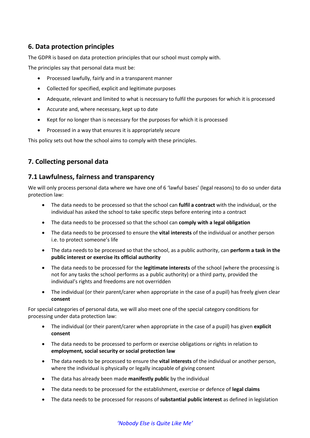## **6. Data protection principles**

The GDPR is based on data protection principles that our school must comply with.

The principles say that personal data must be:

- Processed lawfully, fairly and in a transparent manner
- Collected for specified, explicit and legitimate purposes
- Adequate, relevant and limited to what is necessary to fulfil the purposes for which it is processed
- Accurate and, where necessary, kept up to date
- Kept for no longer than is necessary for the purposes for which it is processed
- Processed in a way that ensures it is appropriately secure

This policy sets out how the school aims to comply with these principles.

## **7. Collecting personal data**

## **7.1 Lawfulness, fairness and transparency**

We will only process personal data where we have one of 6 'lawful bases' (legal reasons) to do so under data protection law:

- The data needs to be processed so that the school can **fulfil a contract** with the individual, or the individual has asked the school to take specific steps before entering into a contract
- The data needs to be processed so that the school can **comply with a legal obligation**
- The data needs to be processed to ensure the **vital interests** of the individual or another person i.e. to protect someone's life
- The data needs to be processed so that the school, as a public authority, can **perform a task in the public interest or exercise its official authority**
- The data needs to be processed for the **legitimate interests** of the school (where the processing is not for any tasks the school performs as a public authority) or a third party, provided the individual's rights and freedoms are not overridden
- The individual (or their parent/carer when appropriate in the case of a pupil) has freely given clear **consent**

For special categories of personal data, we will also meet one of the special category conditions for processing under data protection law:

- The individual (or their parent/carer when appropriate in the case of a pupil) has given **explicit consent**
- The data needs to be processed to perform or exercise obligations or rights in relation to **employment, social security or social protection law**
- The data needs to be processed to ensure the **vital interests** of the individual or another person, where the individual is physically or legally incapable of giving consent
- The data has already been made **manifestly public** by the individual
- The data needs to be processed for the establishment, exercise or defence of **legal claims**
- The data needs to be processed for reasons of **substantial public interest** as defined in legislation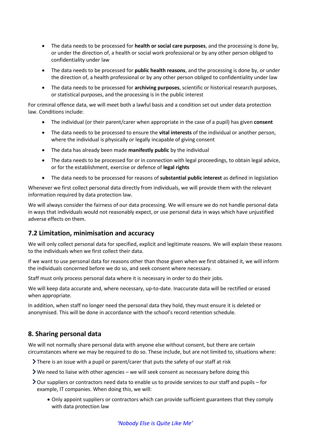- The data needs to be processed for **health or social care purposes**, and the processing is done by, or under the direction of, a health or social work professional or by any other person obliged to confidentiality under law
- The data needs to be processed for **public health reasons**, and the processing is done by, or under the direction of, a health professional or by any other person obliged to confidentiality under law
- The data needs to be processed for **archiving purposes**, scientific or historical research purposes, or statistical purposes, and the processing is in the public interest

For criminal offence data, we will meet both a lawful basis and a condition set out under data protection law. Conditions include:

- The individual (or their parent/carer when appropriate in the case of a pupil) has given **consent**
- The data needs to be processed to ensure the **vital interests** of the individual or another person, where the individual is physically or legally incapable of giving consent
- The data has already been made **manifestly public** by the individual
- The data needs to be processed for or in connection with legal proceedings, to obtain legal advice, or for the establishment, exercise or defence of **legal rights**
- The data needs to be processed for reasons of **substantial public interest** as defined in legislation

Whenever we first collect personal data directly from individuals, we will provide them with the relevant information required by data protection law.

We will always consider the fairness of our data processing. We will ensure we do not handle personal data in ways that individuals would not reasonably expect, or use personal data in ways which have unjustified adverse effects on them.

## **7.2 Limitation, minimisation and accuracy**

We will only collect personal data for specified, explicit and legitimate reasons. We will explain these reasons to the individuals when we first collect their data.

If we want to use personal data for reasons other than those given when we first obtained it, we will inform the individuals concerned before we do so, and seek consent where necessary.

Staff must only process personal data where it is necessary in order to do their jobs.

We will keep data accurate and, where necessary, up-to-date. Inaccurate data will be rectified or erased when appropriate.

In addition, when staff no longer need the personal data they hold, they must ensure it is deleted or anonymised. This will be done in accordance with the school's record retention schedule.

## **8. Sharing personal data**

We will not normally share personal data with anyone else without consent, but there are certain circumstances where we may be required to do so. These include, but are not limited to, situations where:

- There is an issue with a pupil or parent/carer that puts the safety of our staff at risk
- We need to liaise with other agencies we will seek consent as necessary before doing this
- **>** Our suppliers or contractors need data to enable us to provide services to our staff and pupils for example, IT companies. When doing this, we will:
	- Only appoint suppliers or contractors which can provide sufficient guarantees that they comply with data protection law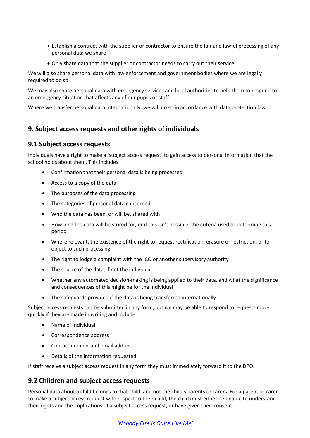- Establish a contract with the supplier or contractor to ensure the fair and lawful processing of any personal data we share
- Only share data that the supplier or contractor needs to carry out their service

We will also share personal data with law enforcement and government bodies where we are legally required to do so.

We may also share personal data with emergency services and local authorities to help them to respond to an emergency situation that affects any of our pupils or staff.

Where we transfer personal data internationally, we will do so in accordance with data protection law.

## **9. Subject access requests and other rights of individuals**

#### **9.1 Subject access requests**

Individuals have a right to make a 'subject access request' to gain access to personal information that the school holds about them. This includes:

- Confirmation that their personal data is being processed
- Access to a copy of the data
- The purposes of the data processing
- The categories of personal data concerned
- Who the data has been, or will be, shared with
- How long the data will be stored for, or if this isn't possible, the criteria used to determine this period
- Where relevant, the existence of the right to request rectification, erasure or restriction, or to object to such processing
- The right to lodge a complaint with the ICO or another supervisory authority
- The source of the data, if not the individual
- Whether any automated decision-making is being applied to their data, and what the significance and consequences of this might be for the individual
- The safeguards provided if the data is being transferred internationally

Subject access requests can be submitted in any form, but we may be able to respond to requests more quickly if they are made in writing and include:

- Name of individual
- Correspondence address
- Contact number and email address
- Details of the information requested

If staff receive a subject access request in any form they must immediately forward it to the DPO.

#### **9.2 Children and subject access requests**

Personal data about a child belongs to that child, and not the child's parents or carers. For a parent or carer to make a subject access request with respect to their child, the child must either be unable to understand their rights and the implications of a subject access request, or have given their consent.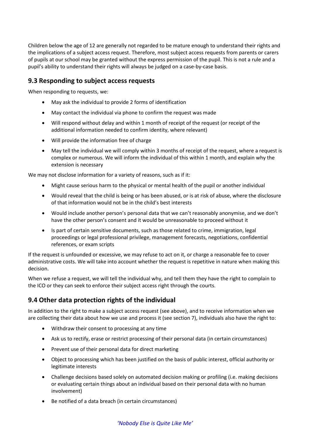Children below the age of 12 are generally not regarded to be mature enough to understand their rights and the implications of a subject access request. Therefore, most subject access requests from parents or carers of pupils at our school may be granted without the express permission of the pupil. This is not a rule and a pupil's ability to understand their rights will always be judged on a case-by-case basis.

### **9.3 Responding to subject access requests**

When responding to requests, we:

- May ask the individual to provide 2 forms of identification
- May contact the individual via phone to confirm the request was made
- Will respond without delay and within 1 month of receipt of the request (or receipt of the additional information needed to confirm identity, where relevant)
- Will provide the information free of charge
- May tell the individual we will comply within 3 months of receipt of the request, where a request is complex or numerous. We will inform the individual of this within 1 month, and explain why the extension is necessary

We may not disclose information for a variety of reasons, such as if it:

- Might cause serious harm to the physical or mental health of the pupil or another individual
- Would reveal that the child is being or has been abused, or is at risk of abuse, where the disclosure of that information would not be in the child's best interests
- Would include another person's personal data that we can't reasonably anonymise, and we don't have the other person's consent and it would be unreasonable to proceed without it
- Is part of certain sensitive documents, such as those related to crime, immigration, legal proceedings or legal professional privilege, management forecasts, negotiations, confidential references, or exam scripts

If the request is unfounded or excessive, we may refuse to act on it, or charge a reasonable fee to cover administrative costs. We will take into account whether the request is repetitive in nature when making this decision.

When we refuse a request, we will tell the individual why, and tell them they have the right to complain to the ICO or they can seek to enforce their subject access right through the courts.

## **9.4 Other data protection rights of the individual**

In addition to the right to make a subject access request (see above), and to receive information when we are collecting their data about how we use and process it (see section 7), individuals also have the right to:

- Withdraw their consent to processing at any time
- Ask us to rectify, erase or restrict processing of their personal data (in certain circumstances)
- Prevent use of their personal data for direct marketing
- Object to processing which has been justified on the basis of public interest, official authority or legitimate interests
- Challenge decisions based solely on automated decision making or profiling (i.e. making decisions or evaluating certain things about an individual based on their personal data with no human involvement)
- Be notified of a data breach (in certain circumstances)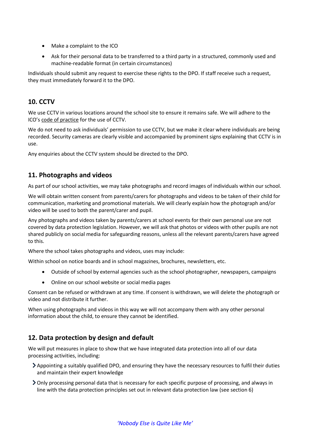- Make a complaint to the ICO
- Ask for their personal data to be transferred to a third party in a structured, commonly used and machine-readable format (in certain circumstances)

Individuals should submit any request to exercise these rights to the DPO. If staff receive such a request, they must immediately forward it to the DPO.

## **10. CCTV**

We use CCTV in various locations around the school site to ensure it remains safe. We will adhere to the ICO's [code of practice](https://ico.org.uk/media/for-organisations/documents/1542/cctv-code-of-practice.pdf) for the use of CCTV.

We do not need to ask individuals' permission to use CCTV, but we make it clear where individuals are being recorded. Security cameras are clearly visible and accompanied by prominent signs explaining that CCTV is in use.

Any enquiries about the CCTV system should be directed to the DPO.

## **11. Photographs and videos**

As part of our school activities, we may take photographs and record images of individuals within our school.

We will obtain written consent from parents/carers for photographs and videos to be taken of their child for communication, marketing and promotional materials. We will clearly explain how the photograph and/or video will be used to both the parent/carer and pupil.

Any photographs and videos taken by parents/carers at school events for their own personal use are not covered by data protection legislation. However, we will ask that photos or videos with other pupils are not shared publicly on social media for safeguarding reasons, unless all the relevant parents/carers have agreed to this.

Where the school takes photographs and videos, uses may include:

Within school on notice boards and in school magazines, brochures, newsletters, etc.

- Outside of school by external agencies such as the school photographer, newspapers, campaigns
- Online on our school website or social media pages

Consent can be refused or withdrawn at any time. If consent is withdrawn, we will delete the photograph or video and not distribute it further.

When using photographs and videos in this way we will not accompany them with any other personal information about the child, to ensure they cannot be identified.

## **12. Data protection by design and default**

We will put measures in place to show that we have integrated data protection into all of our data processing activities, including:

- Appointing a suitably qualified DPO, and ensuring they have the necessary resources to fulfil their duties and maintain their expert knowledge
- Only processing personal data that is necessary for each specific purpose of processing, and always in line with the data protection principles set out in relevant data protection law (see section 6)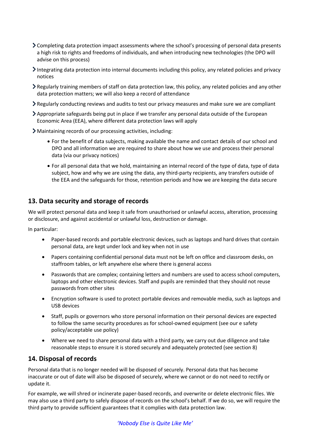- Completing data protection impact assessments where the school's processing of personal data presents a high risk to rights and freedoms of individuals, and when introducing new technologies (the DPO will advise on this process)
- Integrating data protection into internal documents including this policy, any related policies and privacy notices
- Regularly training members of staff on data protection law, this policy, any related policies and any other data protection matters; we will also keep a record of attendance
- Regularly conducting reviews and audits to test our privacy measures and make sure we are compliant
- Appropriate safeguards being put in place if we transfer any personal data outside of the European Economic Area (EEA), where different data protection laws will apply
- Maintaining records of our processing activities, including:
	- For the benefit of data subjects, making available the name and contact details of our school and DPO and all information we are required to share about how we use and process their personal data (via our privacy notices)
	- For all personal data that we hold, maintaining an internal record of the type of data, type of data subject, how and why we are using the data, any third-party recipients, any transfers outside of the EEA and the safeguards for those, retention periods and how we are keeping the data secure

## **13. Data security and storage of records**

We will protect personal data and keep it safe from unauthorised or unlawful access, alteration, processing or disclosure, and against accidental or unlawful loss, destruction or damage.

In particular:

- Paper-based records and portable electronic devices, such as laptops and hard drives that contain personal data, are kept under lock and key when not in use
- Papers containing confidential personal data must not be left on office and classroom desks, on staffroom tables, or left anywhere else where there is general access
- Passwords that are complex; containing letters and numbers are used to access school computers, laptops and other electronic devices. Staff and pupils are reminded that they should not reuse passwords from other sites
- Encryption software is used to protect portable devices and removable media, such as laptops and USB devices
- Staff, pupils or governors who store personal information on their personal devices are expected to follow the same security procedures as for school-owned equipment (see our e safety policy/acceptable use policy)
- Where we need to share personal data with a third party, we carry out due diligence and take reasonable steps to ensure it is stored securely and adequately protected (see section 8)

## **14. Disposal of records**

Personal data that is no longer needed will be disposed of securely. Personal data that has become inaccurate or out of date will also be disposed of securely, where we cannot or do not need to rectify or update it.

For example, we will shred or incinerate paper-based records, and overwrite or delete electronic files. We may also use a third party to safely dispose of records on the school's behalf. If we do so, we will require the third party to provide sufficient guarantees that it complies with data protection law.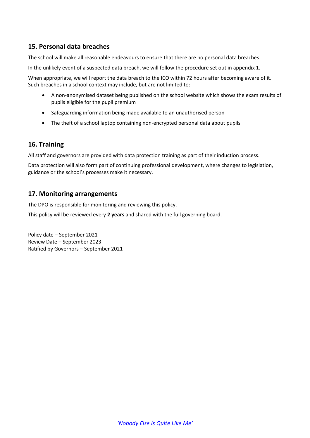## **15. Personal data breaches**

The school will make all reasonable endeavours to ensure that there are no personal data breaches.

In the unlikely event of a suspected data breach, we will follow the procedure set out in appendix 1.

When appropriate, we will report the data breach to the ICO within 72 hours after becoming aware of it. Such breaches in a school context may include, but are not limited to:

- A non-anonymised dataset being published on the school website which shows the exam results of pupils eligible for the pupil premium
- Safeguarding information being made available to an unauthorised person
- The theft of a school laptop containing non-encrypted personal data about pupils

#### **16. Training**

All staff and governors are provided with data protection training as part of their induction process.

Data protection will also form part of continuing professional development, where changes to legislation, guidance or the school's processes make it necessary.

#### **17. Monitoring arrangements**

The DPO is responsible for monitoring and reviewing this policy.

This policy will be reviewed every **2 years** and shared with the full governing board.

Policy date – September 2021 Review Date – September 2023 Ratified by Governors – September 2021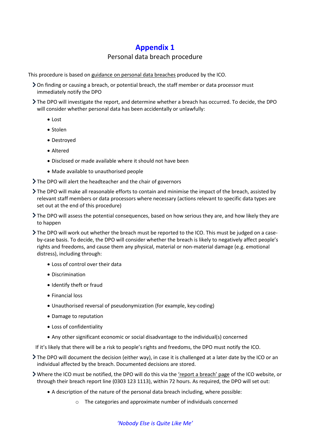## **Appendix 1**

## Personal data breach procedure

This procedure is based o[n guidance on personal data breaches](https://ico.org.uk/for-organisations/guide-to-the-general-data-protection-regulation-gdpr/personal-data-breaches/) produced by the ICO.

- On finding or causing a breach, or potential breach, the staff member or data processor must immediately notify the DPO
- The DPO will investigate the report, and determine whether a breach has occurred. To decide, the DPO will consider whether personal data has been accidentally or unlawfully:
	- Lost
	- Stolen
	- Destroyed
	- Altered
	- Disclosed or made available where it should not have been
	- Made available to unauthorised people
- The DPO will alert the headteacher and the chair of governors
- The DPO will make all reasonable efforts to contain and minimise the impact of the breach, assisted by relevant staff members or data processors where necessary (actions relevant to specific data types are set out at the end of this procedure)
- The DPO will assess the potential consequences, based on how serious they are, and how likely they are to happen
- The DPO will work out whether the breach must be reported to the ICO. This must be judged on a caseby-case basis. To decide, the DPO will consider whether the breach is likely to negatively affect people's rights and freedoms, and cause them any physical, material or non-material damage (e.g. emotional distress), including through:
	- Loss of control over their data
	- Discrimination
	- Identify theft or fraud
	- Financial loss
	- Unauthorised reversal of pseudonymization (for example, key-coding)
	- Damage to reputation
	- Loss of confidentiality
	- Any other significant economic or social disadvantage to the individual(s) concerned

If it's likely that there will be a risk to people's rights and freedoms, the DPO must notify the ICO.

- The DPO will document the decision (either way), in case it is challenged at a later date by the ICO or an individual affected by the breach. Documented decisions are stored.
- **▶ Where the ICO must be notified, the DPO will do this via the ['report a breach' page](https://ico.org.uk/for-organisations/report-a-breach/) of the ICO website, or** through their breach report line (0303 123 1113), within 72 hours. As required, the DPO will set out:
	- A description of the nature of the personal data breach including, where possible:
		- o The categories and approximate number of individuals concerned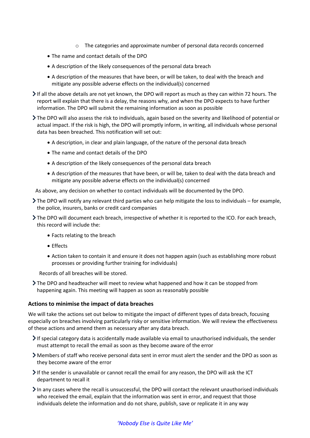- o The categories and approximate number of personal data records concerned
- The name and contact details of the DPO
- A description of the likely consequences of the personal data breach
- A description of the measures that have been, or will be taken, to deal with the breach and mitigate any possible adverse effects on the individual(s) concerned
- If all the above details are not yet known, the DPO will report as much as they can within 72 hours. The report will explain that there is a delay, the reasons why, and when the DPO expects to have further information. The DPO will submit the remaining information as soon as possible
- The DPO will also assess the risk to individuals, again based on the severity and likelihood of potential or actual impact. If the risk is high, the DPO will promptly inform, in writing, all individuals whose personal data has been breached. This notification will set out:
	- A description, in clear and plain language, of the nature of the personal data breach
	- The name and contact details of the DPO
	- A description of the likely consequences of the personal data breach
	- A description of the measures that have been, or will be, taken to deal with the data breach and mitigate any possible adverse effects on the individual(s) concerned
- As above, any decision on whether to contact individuals will be documented by the DPO.
- The DPO will notify any relevant third parties who can help mitigate the loss to individuals for example, the police, insurers, banks or credit card companies
- The DPO will document each breach, irrespective of whether it is reported to the ICO. For each breach, this record will include the:
	- Facts relating to the breach
	- Effects
	- Action taken to contain it and ensure it does not happen again (such as establishing more robust processes or providing further training for individuals)

Records of all breaches will be stored.

The DPO and headteacher will meet to review what happened and how it can be stopped from happening again. This meeting will happen as soon as reasonably possible

#### **Actions to minimise the impact of data breaches**

We will take the actions set out below to mitigate the impact of different types of data breach, focusing especially on breaches involving particularly risky or sensitive information. We will review the effectiveness of these actions and amend them as necessary after any data breach.

- If special category data is accidentally made available via email to unauthorised individuals, the sender must attempt to recall the email as soon as they become aware of the error
- Members of staff who receive personal data sent in error must alert the sender and the DPO as soon as they become aware of the error
- If the sender is unavailable or cannot recall the email for any reason, the DPO will ask the ICT department to recall it
- In any cases where the recall is unsuccessful, the DPO will contact the relevant unauthorised individuals who received the email, explain that the information was sent in error, and request that those individuals delete the information and do not share, publish, save or replicate it in any way